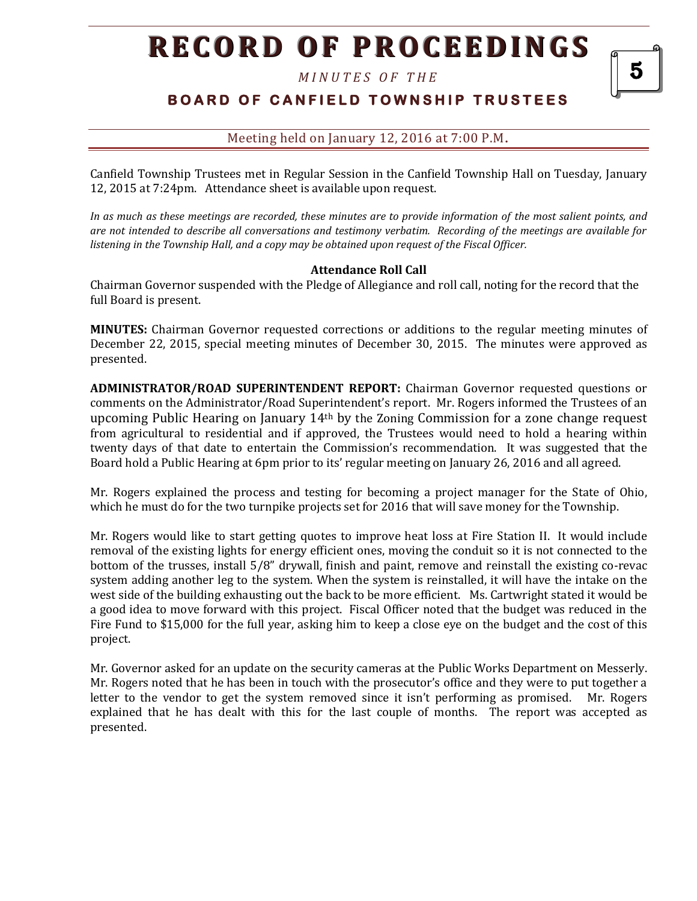*M I N U T E S O F T H E* 

# **BOARD OF CANFIELD TOWNSHIP TRUSTEES**

5

### Meeting held on January 12, 2016 at 7:00 P.M**.**

Canfield Township Trustees met in Regular Session in the Canfield Township Hall on Tuesday, January 12, 2015 at 7:24pm. Attendance sheet is available upon request.

*In as much as these meetings are recorded, these minutes are to provide information of the most salient points, and are not intended to describe all conversations and testimony verbatim. Recording of the meetings are available for listening in the Township Hall, and a copy may be obtained upon request of the Fiscal Officer.* 

#### **Attendance Roll Call**

Chairman Governor suspended with the Pledge of Allegiance and roll call, noting for the record that the full Board is present.

**MINUTES:** Chairman Governor requested corrections or additions to the regular meeting minutes of December 22, 2015, special meeting minutes of December 30, 2015. The minutes were approved as presented.

**ADMINISTRATOR/ROAD SUPERINTENDENT REPORT:** Chairman Governor requested questions or comments on the Administrator/Road Superintendent's report. Mr. Rogers informed the Trustees of an upcoming Public Hearing on January  $14<sup>th</sup>$  by the Zoning Commission for a zone change request from agricultural to residential and if approved, the Trustees would need to hold a hearing within twenty days of that date to entertain the Commission's recommendation. It was suggested that the Board hold a Public Hearing at 6pm prior to its' regular meeting on January 26, 2016 and all agreed.

Mr. Rogers explained the process and testing for becoming a project manager for the State of Ohio, which he must do for the two turnpike projects set for 2016 that will save money for the Township.

Mr. Rogers would like to start getting quotes to improve heat loss at Fire Station II. It would include removal of the existing lights for energy efficient ones, moving the conduit so it is not connected to the bottom of the trusses, install 5/8" drywall, finish and paint, remove and reinstall the existing co-revac system adding another leg to the system. When the system is reinstalled, it will have the intake on the west side of the building exhausting out the back to be more efficient. Ms. Cartwright stated it would be a good idea to move forward with this project. Fiscal Officer noted that the budget was reduced in the Fire Fund to \$15,000 for the full year, asking him to keep a close eye on the budget and the cost of this project.

Mr. Governor asked for an update on the security cameras at the Public Works Department on Messerly. Mr. Rogers noted that he has been in touch with the prosecutor's office and they were to put together a letter to the vendor to get the system removed since it isn't performing as promised. Mr. Rogers explained that he has dealt with this for the last couple of months. The report was accepted as presented.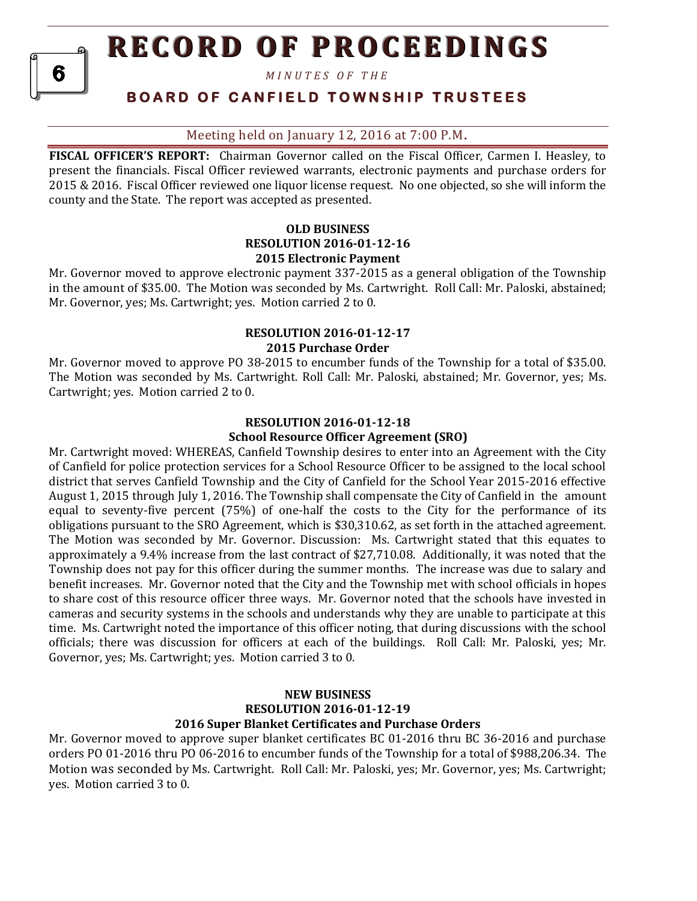*M I N U T E S O F T H E* 

6

## **B O A R D O F C A N F I E L D T O W N S H I P T R U S T E E S**

#### Meeting held on January 12, 2016 at 7:00 P.M**.**

**FISCAL OFFICER'S REPORT:** Chairman Governor called on the Fiscal Officer, Carmen I. Heasley, to present the financials. Fiscal Officer reviewed warrants, electronic payments and purchase orders for 2015 & 2016. Fiscal Officer reviewed one liquor license request. No one objected, so she will inform the county and the State. The report was accepted as presented.

#### **OLD BUSINESS RESOLUTION 2016-01-12-16 2015 Electronic Payment**

Mr. Governor moved to approve electronic payment 337-2015 as a general obligation of the Township in the amount of \$35.00. The Motion was seconded by Ms. Cartwright. Roll Call: Mr. Paloski, abstained; Mr. Governor, yes; Ms. Cartwright; yes. Motion carried 2 to 0.

# **RESOLUTION 2016-01-12-17**

## **2015 Purchase Order**

Mr. Governor moved to approve PO 38-2015 to encumber funds of the Township for a total of \$35.00. The Motion was seconded by Ms. Cartwright. Roll Call: Mr. Paloski, abstained; Mr. Governor, yes; Ms. Cartwright; yes. Motion carried 2 to 0.

#### **RESOLUTION 2016-01-12-18 School Resource Officer Agreement (SRO)**

Mr. Cartwright moved: WHEREAS, Canfield Township desires to enter into an Agreement with the City of Canfield for police protection services for a School Resource Officer to be assigned to the local school district that serves Canfield Township and the City of Canfield for the School Year 2015-2016 effective August 1, 2015 through July 1, 2016. The Township shall compensate the City of Canfield in the amount equal to seventy-five percent (75%) of one-half the costs to the City for the performance of its obligations pursuant to the SRO Agreement, which is \$30,310.62, as set forth in the attached agreement. The Motion was seconded by Mr. Governor. Discussion: Ms. Cartwright stated that this equates to approximately a 9.4% increase from the last contract of \$27,710.08. Additionally, it was noted that the Township does not pay for this officer during the summer months.The increase was due to salary and benefit increases. Mr. Governor noted that the City and the Township met with school officials in hopes to share cost of this resource officer three ways. Mr. Governor noted that the schools have invested in cameras and security systems in the schools and understands why they are unable to participate at this time. Ms. Cartwright noted the importance of this officer noting, that during discussions with the school officials; there was discussion for officers at each of the buildings. Roll Call: Mr. Paloski, yes; Mr. Governor, yes; Ms. Cartwright; yes. Motion carried 3 to 0.

#### **NEW BUSINESS RESOLUTION 2016-01-12-19 2016 Super Blanket Certificates and Purchase Orders**

Mr. Governor moved to approve super blanket certificates BC 01-2016 thru BC 36-2016 and purchase orders PO 01-2016 thru PO 06-2016 to encumber funds of the Township for a total of \$988,206.34. The Motion was seconded by Ms. Cartwright. Roll Call: Mr. Paloski, yes; Mr. Governor, yes; Ms. Cartwright; yes. Motion carried 3 to 0.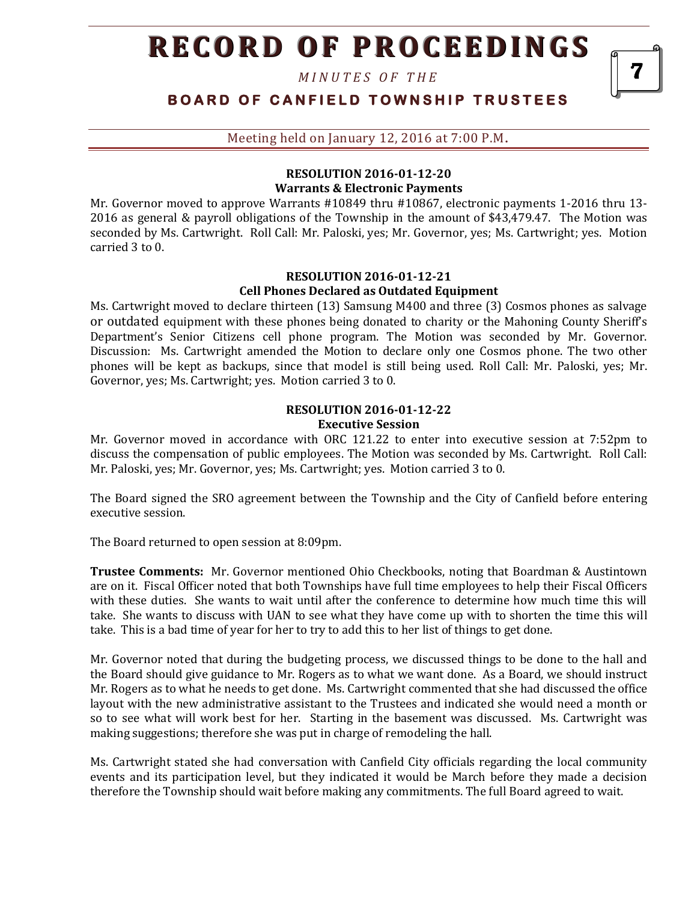*M I N U T E S O F T H E* 

| BOARD OF CANFIELD TOWNSHIP TRUSTEES |
|-------------------------------------|
|-------------------------------------|

7

Meeting held on January 12, 2016 at 7:00 P.M**.**

#### **RESOLUTION 2016-01-12-20 Warrants & Electronic Payments**

Mr. Governor moved to approve Warrants #10849 thru #10867, electronic payments 1-2016 thru 13- 2016 as general & payroll obligations of the Township in the amount of \$43,479.47. The Motion was seconded by Ms. Cartwright. Roll Call: Mr. Paloski, yes; Mr. Governor, yes; Ms. Cartwright; yes. Motion carried 3 to 0.

#### **RESOLUTION 2016-01-12-21 Cell Phones Declared as Outdated Equipment**

Ms. Cartwright moved to declare thirteen (13) Samsung M400 and three (3) Cosmos phones as salvage or outdated equipment with these phones being donated to charity or the Mahoning County Sheriff's Department's Senior Citizens cell phone program. The Motion was seconded by Mr. Governor. Discussion: Ms. Cartwright amended the Motion to declare only one Cosmos phone. The two other phones will be kept as backups, since that model is still being used. Roll Call: Mr. Paloski, yes; Mr. Governor, yes; Ms. Cartwright; yes. Motion carried 3 to 0.

#### **RESOLUTION 2016-01-12-22 Executive Session**

Mr. Governor moved in accordance with ORC 121.22 to enter into executive session at 7:52pm to discuss the compensation of public employees. The Motion was seconded by Ms. Cartwright. Roll Call: Mr. Paloski, yes; Mr. Governor, yes; Ms. Cartwright; yes. Motion carried 3 to 0.

The Board signed the SRO agreement between the Township and the City of Canfield before entering executive session.

The Board returned to open session at 8:09pm.

**Trustee Comments:** Mr. Governor mentioned Ohio Checkbooks, noting that Boardman & Austintown are on it. Fiscal Officer noted that both Townships have full time employees to help their Fiscal Officers with these duties. She wants to wait until after the conference to determine how much time this will take. She wants to discuss with UAN to see what they have come up with to shorten the time this will take. This is a bad time of year for her to try to add this to her list of things to get done.

Mr. Governor noted that during the budgeting process, we discussed things to be done to the hall and the Board should give guidance to Mr. Rogers as to what we want done. As a Board, we should instruct Mr. Rogers as to what he needs to get done. Ms. Cartwright commented that she had discussed the office layout with the new administrative assistant to the Trustees and indicated she would need a month or so to see what will work best for her. Starting in the basement was discussed. Ms. Cartwright was making suggestions; therefore she was put in charge of remodeling the hall.

Ms. Cartwright stated she had conversation with Canfield City officials regarding the local community events and its participation level, but they indicated it would be March before they made a decision therefore the Township should wait before making any commitments. The full Board agreed to wait.